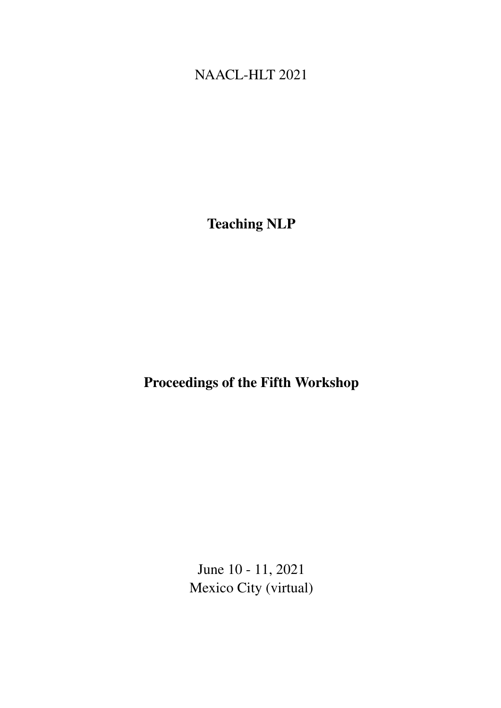# <span id="page-0-0"></span>NAACL-HLT 2021

Teaching NLP

Proceedings of the Fifth Workshop

June 10 - 11, 2021 Mexico City (virtual)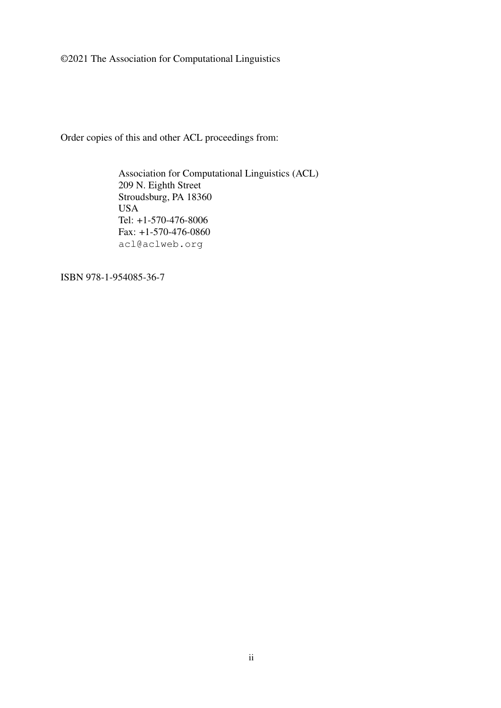©2021 The Association for Computational Linguistics

Order copies of this and other ACL proceedings from:

Association for Computational Linguistics (ACL) 209 N. Eighth Street Stroudsburg, PA 18360 USA Tel: +1-570-476-8006 Fax: +1-570-476-0860 acl@aclweb.org

ISBN 978-1-954085-36-7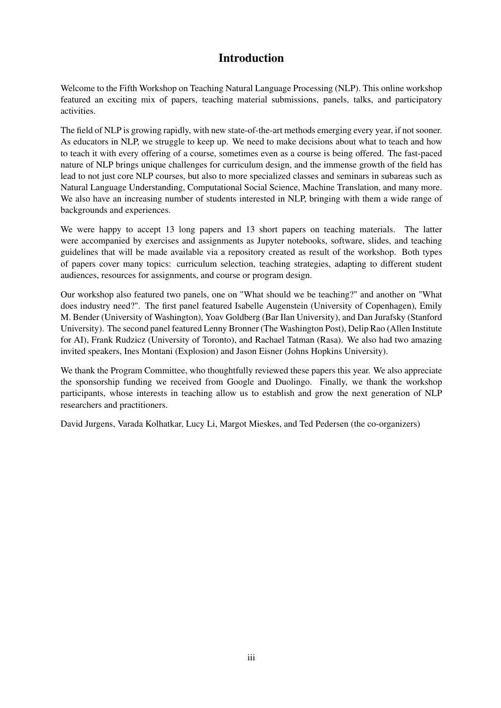# Introduction

Welcome to the Fifth Workshop on Teaching Natural Language Processing (NLP). This online workshop featured an exciting mix of papers, teaching material submissions, panels, talks, and participatory activities.

The field of NLP is growing rapidly, with new state-of-the-art methods emerging every year, if not sooner. As educators in NLP, we struggle to keep up. We need to make decisions about what to teach and how to teach it with every offering of a course, sometimes even as a course is being offered. The fast-paced nature of NLP brings unique challenges for curriculum design, and the immense growth of the field has lead to not just core NLP courses, but also to more specialized classes and seminars in subareas such as Natural Language Understanding, Computational Social Science, Machine Translation, and many more. We also have an increasing number of students interested in NLP, bringing with them a wide range of backgrounds and experiences.

We were happy to accept 13 long papers and 13 short papers on teaching materials. The latter were accompanied by exercises and assignments as Jupyter notebooks, software, slides, and teaching guidelines that will be made available via a repository created as result of the workshop. Both types of papers cover many topics: curriculum selection, teaching strategies, adapting to different student audiences, resources for assignments, and course or program design.

Our workshop also featured two panels, one on "What should we be teaching?" and another on "What does industry need?". The first panel featured Isabelle Augenstein (University of Copenhagen), Emily M. Bender (University of Washington), Yoav Goldberg (Bar Ilan University), and Dan Jurafsky (Stanford University). The second panel featured Lenny Bronner (The Washington Post), Delip Rao (Allen Institute for AI), Frank Rudzicz (University of Toronto), and Rachael Tatman (Rasa). We also had two amazing invited speakers, Ines Montani (Explosion) and Jason Eisner (Johns Hopkins University).

We thank the Program Committee, who thoughtfully reviewed these papers this year. We also appreciate the sponsorship funding we received from Google and Duolingo. Finally, we thank the workshop participants, whose interests in teaching allow us to establish and grow the next generation of NLP researchers and practitioners.

David Jurgens, Varada Kolhatkar, Lucy Li, Margot Mieskes, and Ted Pedersen (the co-organizers)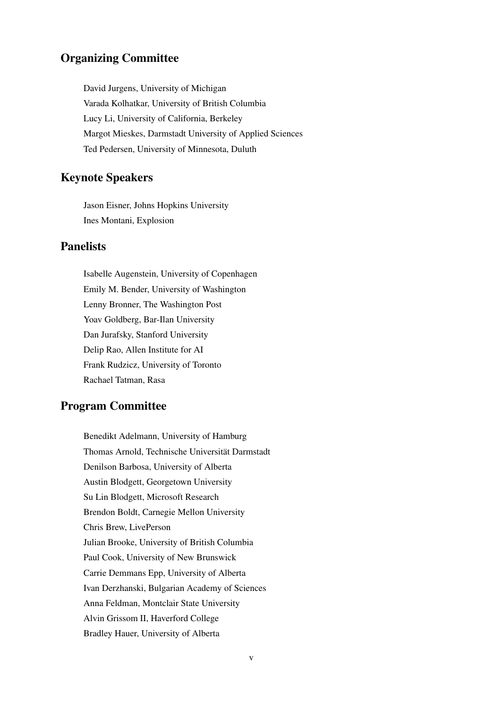# Organizing Committee

David Jurgens, University of Michigan Varada Kolhatkar, University of British Columbia Lucy Li, University of California, Berkeley Margot Mieskes, Darmstadt University of Applied Sciences Ted Pedersen, University of Minnesota, Duluth

## Keynote Speakers

Jason Eisner, Johns Hopkins University Ines Montani, Explosion

# **Panelists**

Isabelle Augenstein, University of Copenhagen Emily M. Bender, University of Washington Lenny Bronner, The Washington Post Yoav Goldberg, Bar-Ilan University Dan Jurafsky, Stanford University Delip Rao, Allen Institute for AI Frank Rudzicz, University of Toronto Rachael Tatman, Rasa

# Program Committee

Benedikt Adelmann, University of Hamburg Thomas Arnold, Technische Universität Darmstadt Denilson Barbosa, University of Alberta Austin Blodgett, Georgetown University Su Lin Blodgett, Microsoft Research Brendon Boldt, Carnegie Mellon University Chris Brew, LivePerson Julian Brooke, University of British Columbia Paul Cook, University of New Brunswick Carrie Demmans Epp, University of Alberta Ivan Derzhanski, Bulgarian Academy of Sciences Anna Feldman, Montclair State University Alvin Grissom II, Haverford College Bradley Hauer, University of Alberta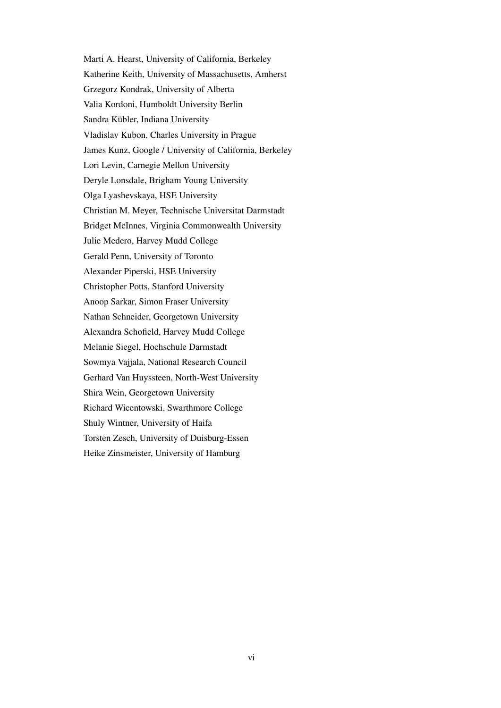Marti A. Hearst, University of California, Berkeley Katherine Keith, University of Massachusetts, Amherst Grzegorz Kondrak, University of Alberta Valia Kordoni, Humboldt University Berlin Sandra Kübler, Indiana University Vladislav Kubon, Charles University in Prague James Kunz, Google / University of California, Berkeley Lori Levin, Carnegie Mellon University Deryle Lonsdale, Brigham Young University Olga Lyashevskaya, HSE University Christian M. Meyer, Technische Universitat Darmstadt Bridget McInnes, Virginia Commonwealth University Julie Medero, Harvey Mudd College Gerald Penn, University of Toronto Alexander Piperski, HSE University Christopher Potts, Stanford University Anoop Sarkar, Simon Fraser University Nathan Schneider, Georgetown University Alexandra Schofield, Harvey Mudd College Melanie Siegel, Hochschule Darmstadt Sowmya Vajjala, National Research Council Gerhard Van Huyssteen, North-West University Shira Wein, Georgetown University Richard Wicentowski, Swarthmore College Shuly Wintner, University of Haifa Torsten Zesch, University of Duisburg-Essen Heike Zinsmeister, University of Hamburg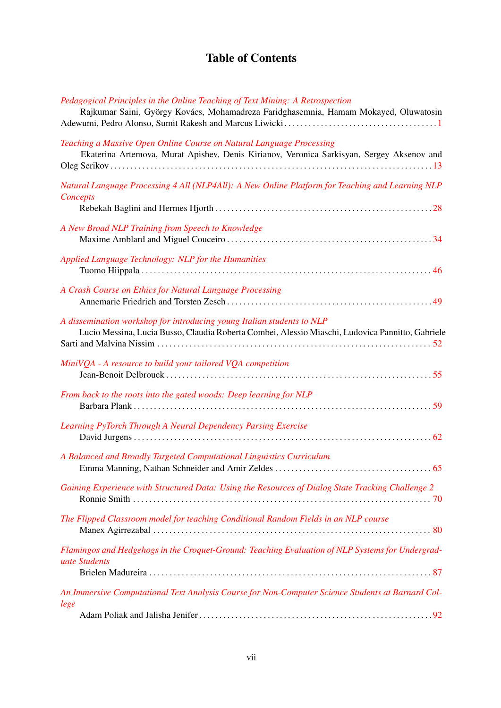# Table of Contents

| Pedagogical Principles in the Online Teaching of Text Mining: A Retrospection<br>Rajkumar Saini, György Kovács, Mohamadreza Faridghasemnia, Hamam Mokayed, Oluwatosin      |
|----------------------------------------------------------------------------------------------------------------------------------------------------------------------------|
|                                                                                                                                                                            |
| Teaching a Massive Open Online Course on Natural Language Processing<br>Ekaterina Artemova, Murat Apishev, Denis Kirianov, Veronica Sarkisyan, Sergey Aksenov and          |
|                                                                                                                                                                            |
| Natural Language Processing 4 All (NLP4All): A New Online Platform for Teaching and Learning NLP<br>Concepts                                                               |
|                                                                                                                                                                            |
| A New Broad NLP Training from Speech to Knowledge                                                                                                                          |
| Applied Language Technology: NLP for the Humanities                                                                                                                        |
| A Crash Course on Ethics for Natural Language Processing                                                                                                                   |
|                                                                                                                                                                            |
| A dissemination workshop for introducing young Italian students to NLP<br>Lucio Messina, Lucia Busso, Claudia Roberta Combei, Alessio Miaschi, Ludovica Pannitto, Gabriele |
|                                                                                                                                                                            |
| MiniVQA - A resource to build your tailored VQA competition                                                                                                                |
| From back to the roots into the gated woods: Deep learning for NLP                                                                                                         |
| Learning PyTorch Through A Neural Dependency Parsing Exercise                                                                                                              |
|                                                                                                                                                                            |
| A Balanced and Broadly Targeted Computational Linguistics Curriculum                                                                                                       |
| Gaining Experience with Structured Data: Using the Resources of Dialog State Tracking Challenge 2                                                                          |
| The Flipped Classroom model for teaching Conditional Random Fields in an NLP course                                                                                        |
| Flamingos and Hedgehogs in the Croquet-Ground: Teaching Evaluation of NLP Systems for Undergrad-<br>uate Students                                                          |
|                                                                                                                                                                            |
| An Immersive Computational Text Analysis Course for Non-Computer Science Students at Barnard Col-<br>lege                                                                  |
|                                                                                                                                                                            |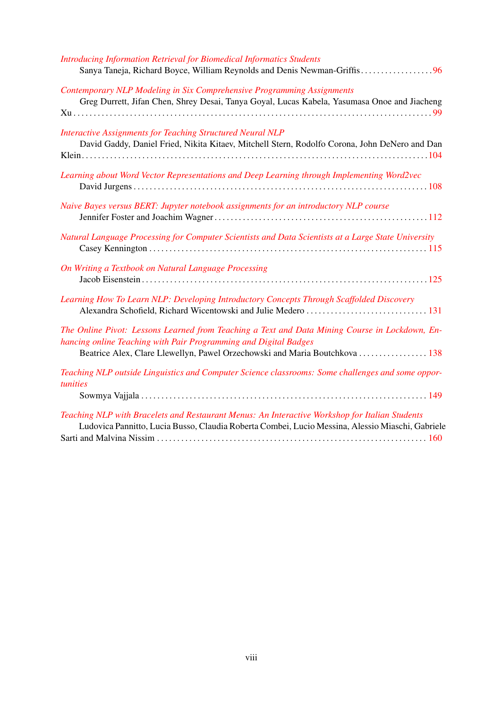| <b>Introducing Information Retrieval for Biomedical Informatics Students</b><br>Sanya Taneja, Richard Boyce, William Reynolds and Denis Newman-Griffis                                                                                            |
|---------------------------------------------------------------------------------------------------------------------------------------------------------------------------------------------------------------------------------------------------|
| Contemporary NLP Modeling in Six Comprehensive Programming Assignments<br>Greg Durrett, Jifan Chen, Shrey Desai, Tanya Goyal, Lucas Kabela, Yasumasa Onoe and Jiacheng                                                                            |
| <b>Interactive Assignments for Teaching Structured Neural NLP</b><br>David Gaddy, Daniel Fried, Nikita Kitaev, Mitchell Stern, Rodolfo Corona, John DeNero and Dan                                                                                |
| Learning about Word Vector Representations and Deep Learning through Implementing Word2vec                                                                                                                                                        |
| Naive Bayes versus BERT: Jupyter notebook assignments for an introductory NLP course                                                                                                                                                              |
| Natural Language Processing for Computer Scientists and Data Scientists at a Large State University                                                                                                                                               |
| On Writing a Textbook on Natural Language Processing                                                                                                                                                                                              |
| Learning How To Learn NLP: Developing Introductory Concepts Through Scaffolded Discovery<br>Alexandra Schofield, Richard Wicentowski and Julie Medero  131                                                                                        |
| The Online Pivot: Lessons Learned from Teaching a Text and Data Mining Course in Lockdown, En-<br>hancing online Teaching with Pair Programming and Digital Badges<br>Beatrice Alex, Clare Llewellyn, Pawel Orzechowski and Maria Boutchkova  138 |
| Teaching NLP outside Linguistics and Computer Science classrooms: Some challenges and some oppor-<br>tunities                                                                                                                                     |
|                                                                                                                                                                                                                                                   |
| Teaching NLP with Bracelets and Restaurant Menus: An Interactive Workshop for Italian Students<br>Ludovica Pannitto, Lucia Busso, Claudia Roberta Combei, Lucio Messina, Alessio Miaschi, Gabriele                                                |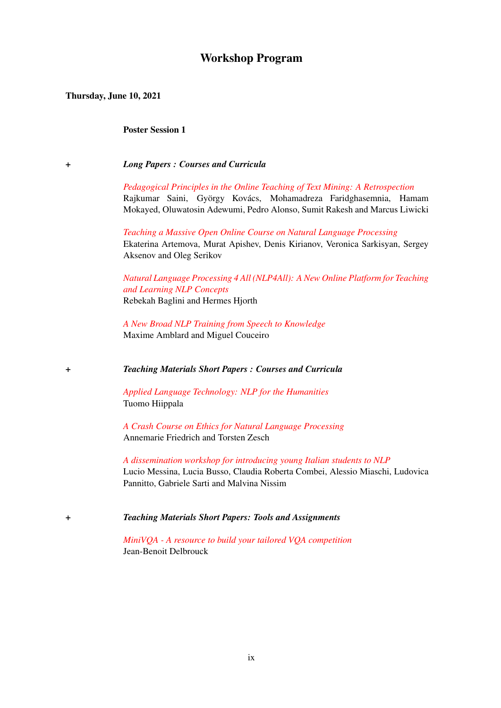# Workshop Program

Thursday, June 10, 2021

Poster Session 1

+ *Long Papers : Courses and Curricula*

*[Pedagogical Principles in the Online Teaching of Text Mining: A Retrospection](#page-0-0)* Rajkumar Saini, György Kovács, Mohamadreza Faridghasemnia, Hamam Mokayed, Oluwatosin Adewumi, Pedro Alonso, Sumit Rakesh and Marcus Liwicki

*[Teaching a Massive Open Online Course on Natural Language Processing](#page-0-0)* Ekaterina Artemova, Murat Apishev, Denis Kirianov, Veronica Sarkisyan, Sergey Aksenov and Oleg Serikov

*[Natural Language Processing 4 All \(NLP4All\): A New Online Platform for Teaching](#page-0-0) [and Learning NLP Concepts](#page-0-0)* Rebekah Baglini and Hermes Hjorth

*[A New Broad NLP Training from Speech to Knowledge](#page-0-0)* Maxime Amblard and Miguel Couceiro

+ *Teaching Materials Short Papers : Courses and Curricula*

*[Applied Language Technology: NLP for the Humanities](#page-0-0)* Tuomo Hiippala

*[A Crash Course on Ethics for Natural Language Processing](#page-0-0)* Annemarie Friedrich and Torsten Zesch

*[A dissemination workshop for introducing young Italian students to NLP](#page-0-0)* Lucio Messina, Lucia Busso, Claudia Roberta Combei, Alessio Miaschi, Ludovica Pannitto, Gabriele Sarti and Malvina Nissim

+ *Teaching Materials Short Papers: Tools and Assignments*

*[MiniVQA - A resource to build your tailored VQA competition](#page-0-0)* Jean-Benoit Delbrouck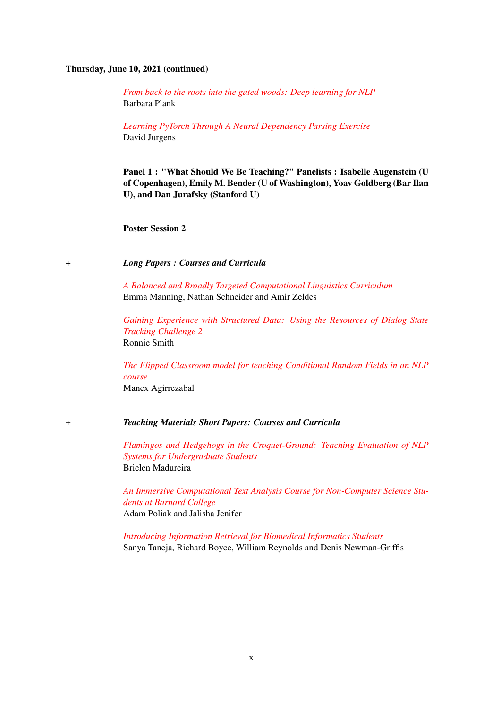### Thursday, June 10, 2021 (continued)

*[From back to the roots into the gated woods: Deep learning for NLP](#page-0-0)* Barbara Plank

*[Learning PyTorch Through A Neural Dependency Parsing Exercise](#page-0-0)* David Jurgens

Panel 1 : "What Should We Be Teaching?" Panelists : Isabelle Augenstein (U of Copenhagen), Emily M. Bender (U of Washington), Yoav Goldberg (Bar Ilan U), and Dan Jurafsky (Stanford U)

Poster Session 2

+ *Long Papers : Courses and Curricula*

*[A Balanced and Broadly Targeted Computational Linguistics Curriculum](#page-0-0)* Emma Manning, Nathan Schneider and Amir Zeldes

*[Gaining Experience with Structured Data: Using the Resources of Dialog State](#page-0-0) [Tracking Challenge 2](#page-0-0)* Ronnie Smith

*[The Flipped Classroom model for teaching Conditional Random Fields in an NLP](#page-0-0) [course](#page-0-0)* Manex Agirrezabal

#### + *Teaching Materials Short Papers: Courses and Curricula*

*[Flamingos and Hedgehogs in the Croquet-Ground: Teaching Evaluation of NLP](#page-0-0) [Systems for Undergraduate Students](#page-0-0)* Brielen Madureira

*[An Immersive Computational Text Analysis Course for Non-Computer Science Stu](#page-0-0)[dents at Barnard College](#page-0-0)* Adam Poliak and Jalisha Jenifer

*[Introducing Information Retrieval for Biomedical Informatics Students](#page-0-0)* Sanya Taneja, Richard Boyce, William Reynolds and Denis Newman-Griffis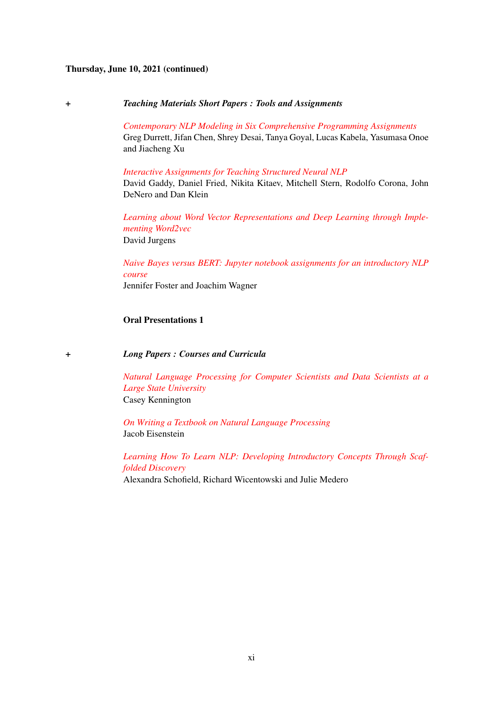### Thursday, June 10, 2021 (continued)

+ *Teaching Materials Short Papers : Tools and Assignments*

*[Contemporary NLP Modeling in Six Comprehensive Programming Assignments](#page-0-0)* Greg Durrett, Jifan Chen, Shrey Desai, Tanya Goyal, Lucas Kabela, Yasumasa Onoe and Jiacheng Xu

#### *[Interactive Assignments for Teaching Structured Neural NLP](#page-0-0)*

David Gaddy, Daniel Fried, Nikita Kitaev, Mitchell Stern, Rodolfo Corona, John DeNero and Dan Klein

*[Learning about Word Vector Representations and Deep Learning through Imple](#page-0-0)[menting Word2vec](#page-0-0)* David Jurgens

*[Naive Bayes versus BERT: Jupyter notebook assignments for an introductory NLP](#page-0-0) [course](#page-0-0)* Jennifer Foster and Joachim Wagner

### Oral Presentations 1

#### + *Long Papers : Courses and Curricula*

*[Natural Language Processing for Computer Scientists and Data Scientists at a](#page-0-0) [Large State University](#page-0-0)* Casey Kennington

*[On Writing a Textbook on Natural Language Processing](#page-0-0)* Jacob Eisenstein

*[Learning How To Learn NLP: Developing Introductory Concepts Through Scaf](#page-0-0)[folded Discovery](#page-0-0)* Alexandra Schofield, Richard Wicentowski and Julie Medero